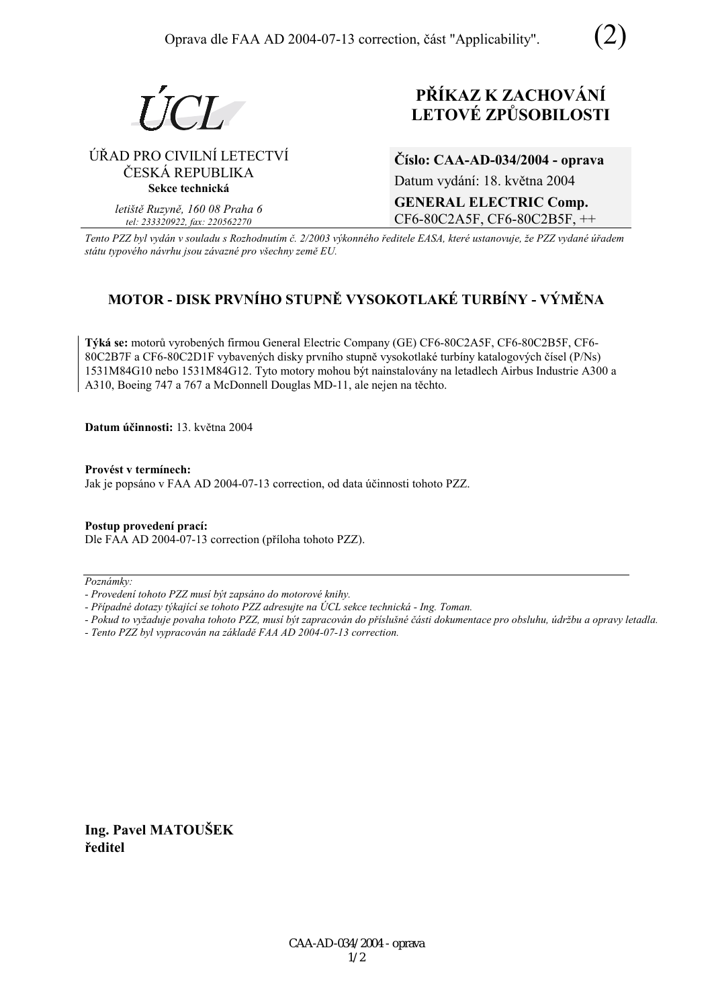



### ⁄ŘAD PRO CIVILNÕ LETECTVÕ ČESKÁ REPUBLIKA **Sekce technická**

*letiötě Ruzyně, 160 08 Praha 6 tel: 233320922, fax: 220562270*

# **PŘÍKAZ K ZACHOVÁNÍ LETOV… ZPŮSOBILOSTI**

**ČÌslo: CAA-AD-034/2004 - oprava**  Datum vydání: 18. května 2004 **GENERAL ELECTRIC Comp.** CF6-80C2A5F, CF6-80C2B5F, ++

*Tento PZZ byl vyd·n v souladu s RozhodnutÌm č. 2/2003 v˝konnÈho ředitele EASA, kterÈ ustanovuje, ûe PZZ vydanÈ ˙řadem*  státu typového návrhu jsou závazné pro všechny země EU.

## **MOTOR - DISK PRVNÍHO STUPNĚ VYSOKOTLAKÉ TURBÍNY - VÝMĚNA**

Týká se: motorů vyrobených firmou General Electric Company (GE) CF6-80C2A5F, CF6-80C2B5F, CF6-80C2B7F a CF6-80C2D1F vybavených disky prvního stupně vysokotlaké turbíny katalogových čísel (P/Ns) 1531M84G10 nebo 1531M84G12. Tyto motory mohou být nainstalovány na letadlech Airbus Industrie A300 a A310, Boeing 747 a 767 a McDonnell Douglas MD-11, ale nejen na těchto.

**Datum ˙činnosti:** 13. května 2004

**ProvÈst v termÌnech:**  Jak je popsáno v FAA AD 2004-07-13 correction, od data účinnosti tohoto PZZ.

**Postup provedenÌ pracÌ:**  Dle FAA AD 2004-07-13 correction (příloha tohoto PZZ).

 $Poznámky$ :

- *Pokud to vyûaduje povaha tohoto PZZ, musÌ b˝t zapracov·n do přÌsluönÈ č·sti dokumentace pro obsluhu, ˙drûbu a opravy letadla.*
- *Tento PZZ byl vypracov·n na z·kladě FAA AD 2004-07-13 correction.*

**Ing. Pavel MATOUäEK ředitel** 

*<sup>-</sup> ProvedenÌ tohoto PZZ musÌ b˝t zaps·no do motorovÈ knihy.* 

<sup>-</sup> Případné dotazy týkající se tohoto PZZ adresujte na ÚCL sekce technická - Ing. Toman.